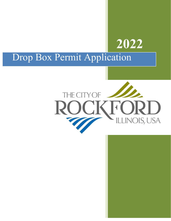## **2022**

## Drop Box Permit Application

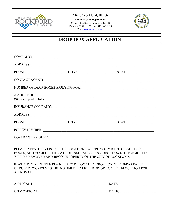

**City of Rockford, Illinois Public Works Department** 425 East State Street, Rockford, IL 61104 Phone: 779-348-7174 Fax: 815-967-7058 Web: www.rockfordil.gov



## **DROP BOX APPLICATION**

|                                                |                                                                                                                                                                                                             | PHONE: CITY: CITY: STATE:                                                                                                                      |
|------------------------------------------------|-------------------------------------------------------------------------------------------------------------------------------------------------------------------------------------------------------------|------------------------------------------------------------------------------------------------------------------------------------------------|
|                                                |                                                                                                                                                                                                             | CONTACT AGENT: NATURAL CONTACT AGENT:                                                                                                          |
|                                                |                                                                                                                                                                                                             |                                                                                                                                                |
| <b>AMOUNT DUE:</b><br>(\$48 each paid in full) | <u> 1989 - Johann John Stone, markin din bashkar (b. 1989)</u>                                                                                                                                              |                                                                                                                                                |
|                                                |                                                                                                                                                                                                             |                                                                                                                                                |
|                                                |                                                                                                                                                                                                             | PHONE: CITY: CITY: STATE:                                                                                                                      |
|                                                |                                                                                                                                                                                                             |                                                                                                                                                |
|                                                |                                                                                                                                                                                                             |                                                                                                                                                |
|                                                | PLEASE ATTATCH A LIST OF THE LOCATIONS WHERE YOU WISH TO PLACE DROP<br>WILL BE REMOVED AND BECOME POPERTY OF THE CITY OF ROCKFORD.<br>IF AT ANY TIME THERE IS A NEED TO RELOCATE A DROP BOX, THE DEPARTMENT | BOXES, AND YOUR CERTIFICATE OF INSURANCE. ANY DROP BOX NOT PERMITTED<br>OF PUBLIC WORKS MUST BE NOTIFIED BY LETTER PRIOR TO THE RELOCATION FOR |
| APPROVAL.                                      |                                                                                                                                                                                                             |                                                                                                                                                |
|                                                | APPLICANT:                                                                                                                                                                                                  |                                                                                                                                                |

CITY OFFICIAL: \_\_\_\_\_\_\_\_\_\_\_\_\_\_\_\_\_\_\_\_\_\_\_\_\_\_\_\_\_\_\_\_\_\_\_\_\_\_\_\_\_ DATE: \_\_\_\_\_\_\_\_\_\_\_\_\_\_\_\_\_\_\_\_\_